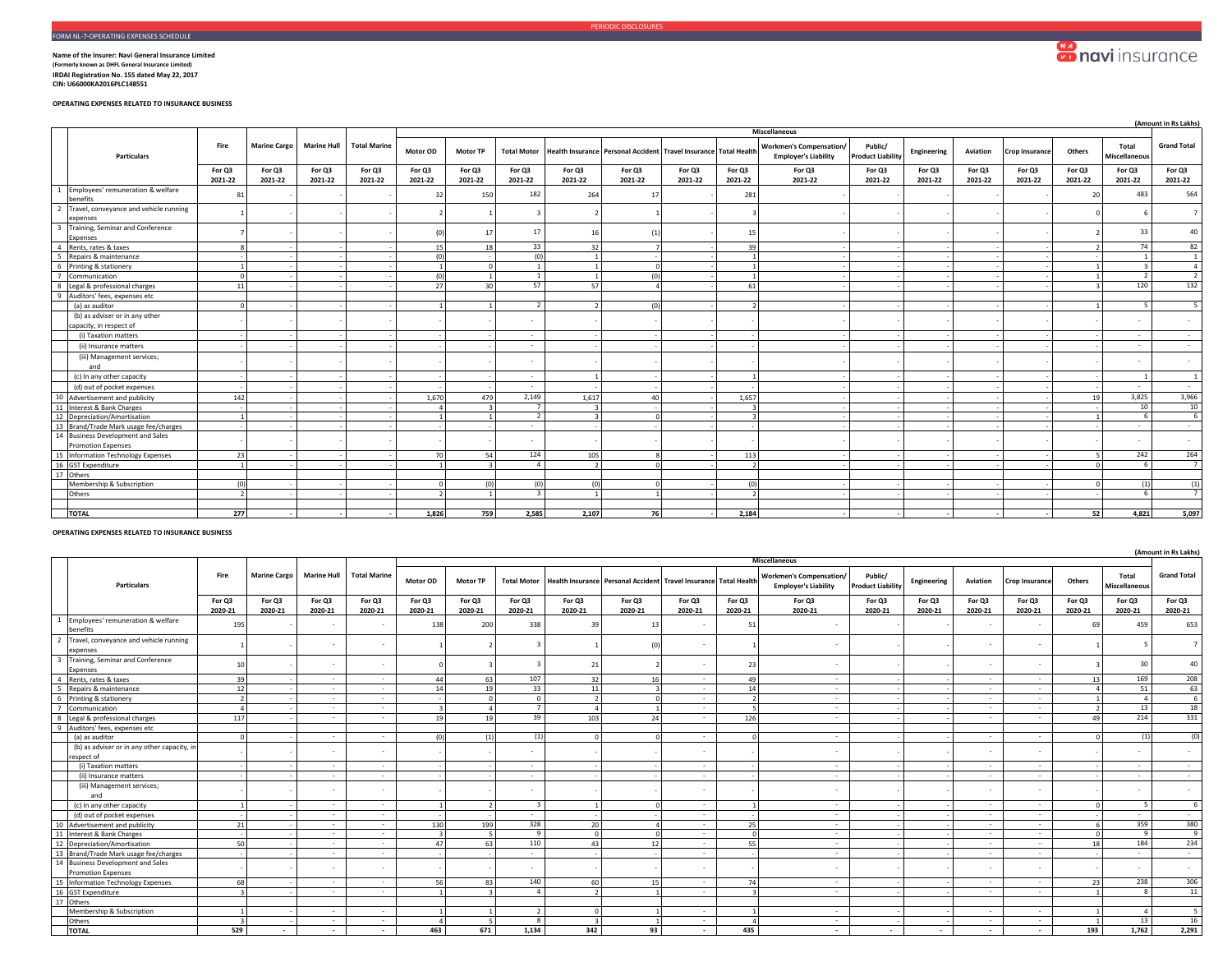## **Sonavi** insurance

**Name of the Insurer: Navi General Insurance Limited (Formerly known as DHFL General Insurance Limited) IRDAI Registration No. 155 dated May 22, 2017 CIN: U66000KA2016PLC148551** 

**OPERATING EXPENSES RELATED TO INSURANCE BUSINESS**

|                                                                |                   |                     |                    |                     |                   |                   |                    |                   |                                                                  |                   |                   |                                                               |                                     |                   |                   |                   |                   |                          | (Amount in Rs Lakhs) |
|----------------------------------------------------------------|-------------------|---------------------|--------------------|---------------------|-------------------|-------------------|--------------------|-------------------|------------------------------------------------------------------|-------------------|-------------------|---------------------------------------------------------------|-------------------------------------|-------------------|-------------------|-------------------|-------------------|--------------------------|----------------------|
|                                                                |                   |                     |                    |                     |                   |                   |                    |                   |                                                                  |                   |                   | <b>Miscellaneous</b>                                          |                                     |                   |                   |                   |                   |                          |                      |
| <b>Particulars</b>                                             | Fire              | <b>Marine Cargo</b> | <b>Marine Hull</b> | <b>Total Marine</b> | Motor OD          | <b>Motor TP</b>   | <b>Total Motor</b> |                   | Health Insurance Personal Accident Travel Insurance Total Health |                   |                   | <b>Workmen's Compensation/</b><br><b>Employer's Liability</b> | Public/<br><b>Product Liability</b> | Engineering       | Aviation          | Crop insurance    | Others            | Total<br>Miscellaneous   | <b>Grand Total</b>   |
|                                                                | For Q3<br>2021-22 | For Q3<br>2021-22   | For Q3<br>2021-22  | For Q3<br>2021-22   | For Q3<br>2021-22 | For Q3<br>2021-22 | For Q3<br>2021-22  | For Q3<br>2021-22 | For Q3<br>2021-22                                                | For Q3<br>2021-22 | For Q3<br>2021-22 | For Q3<br>2021-22                                             | For Q3<br>2021-22                   | For Q3<br>2021-22 | For Q3<br>2021-22 | For Q3<br>2021-22 | For Q3<br>2021-22 | For Q3<br>2021-22        | For Q3<br>2021-22    |
| 1 Employees' remuneration & welfare<br>benefits                | 8                 |                     |                    |                     | 32                | 150               | 182                | 264               | 17                                                               |                   | 281               |                                                               |                                     |                   |                   |                   | 20                | 483                      | 564                  |
| Travel, conveyance and vehicle running<br>expenses             |                   |                     |                    |                     |                   |                   | $\mathbf{3}$       |                   |                                                                  |                   |                   |                                                               |                                     |                   |                   |                   |                   |                          |                      |
| 3 Training, Seminar and Conference<br>Expenses                 |                   |                     |                    |                     |                   | 17                | 17                 | 16                | (1)                                                              |                   | 15                |                                                               |                                     |                   |                   |                   |                   | 33                       | $\Delta \cap$        |
| Rents, rates & taxes<br>$\overline{a}$                         |                   |                     |                    |                     | 15                | 18                | 33                 | 32                |                                                                  |                   | 39                |                                                               |                                     |                   |                   |                   |                   | 74                       | 82                   |
| Repairs & maintenance<br>-5                                    |                   |                     |                    |                     | (0)               |                   | (0)                |                   |                                                                  |                   |                   |                                                               |                                     |                   |                   |                   |                   |                          |                      |
| 6 Printing & stationery                                        |                   |                     |                    |                     |                   | $\Omega$          | $\overline{1}$     |                   | $\Omega$                                                         |                   |                   |                                                               |                                     |                   |                   |                   |                   |                          |                      |
| 7 Communication                                                |                   |                     |                    |                     | (n)               |                   | $\overline{1}$     |                   | (0)                                                              |                   |                   |                                                               |                                     |                   |                   |                   |                   | $\overline{\phantom{a}}$ | $\overline{z}$       |
| 8 Legal & professional charges                                 | 11                |                     |                    |                     | 27                | 30 <sup>1</sup>   | 57                 | 57                |                                                                  |                   | 61                |                                                               |                                     |                   |                   |                   |                   | 120                      | 132                  |
| 9 Auditors' fees, expenses etc                                 |                   |                     |                    |                     |                   |                   |                    |                   |                                                                  |                   |                   |                                                               |                                     |                   |                   |                   |                   |                          |                      |
| (a) as auditor                                                 |                   |                     |                    |                     |                   |                   | $\overline{z}$     |                   | (0)                                                              |                   |                   |                                                               |                                     |                   |                   |                   |                   | 5                        |                      |
| (b) as adviser or in any other<br>capacity, in respect of      |                   |                     |                    |                     |                   |                   |                    |                   |                                                                  |                   |                   |                                                               |                                     |                   |                   |                   |                   | . .                      |                      |
| (i) Taxation matters                                           |                   |                     |                    |                     |                   |                   | $\sim$             |                   |                                                                  |                   |                   |                                                               |                                     |                   |                   |                   |                   | $\sim$                   |                      |
| (ii) Insurance matters                                         |                   |                     |                    |                     |                   |                   | $\sim$             |                   |                                                                  |                   |                   |                                                               |                                     |                   |                   |                   |                   | $\sim$                   |                      |
| (iii) Management services;<br>and                              |                   |                     |                    |                     |                   |                   |                    |                   |                                                                  |                   |                   |                                                               |                                     |                   |                   |                   |                   | $\sim$                   |                      |
| (c) In any other capacity                                      |                   |                     |                    |                     |                   |                   | $\sim$             |                   |                                                                  |                   |                   |                                                               |                                     |                   |                   |                   |                   |                          |                      |
| (d) out of pocket expenses                                     |                   |                     |                    |                     |                   |                   | $\sim$             |                   |                                                                  |                   |                   |                                                               |                                     |                   |                   |                   |                   | $\sim$                   | $\sim$               |
| 10 Advertisement and publicity                                 | 142               |                     |                    |                     | 1,670             | 479               | 2,149              | 1,617             | 40                                                               |                   | 1,657             |                                                               |                                     |                   |                   |                   | 19                | 3,825                    | 3,966                |
| 11 Interest & Bank Charges                                     |                   |                     |                    |                     |                   |                   | $\overline{7}$     |                   |                                                                  |                   |                   |                                                               |                                     |                   |                   |                   |                   | 10                       | 10                   |
| 12 Depreciation/Amortisation                                   |                   |                     |                    |                     |                   |                   | $\overline{2}$     |                   |                                                                  |                   |                   |                                                               |                                     |                   |                   |                   |                   | 6                        | 6                    |
| 13 Brand/Trade Mark usage fee/charges                          |                   |                     |                    |                     |                   |                   | $\sim$             |                   |                                                                  |                   |                   |                                                               |                                     |                   |                   |                   |                   | $\sim$                   | $\sim$               |
| 14 Business Development and Sales<br><b>Promotion Expenses</b> |                   |                     |                    |                     |                   |                   |                    |                   |                                                                  |                   |                   |                                                               |                                     |                   |                   |                   |                   | . .                      |                      |
| 15 Information Technology Expenses                             | 23                |                     |                    |                     | 70                | 54                | 124                | 105               |                                                                  |                   | 113               |                                                               |                                     |                   |                   |                   |                   | 242                      | 264                  |
| 16 GST Expenditure                                             |                   |                     |                    |                     |                   |                   | $\Delta$           |                   |                                                                  |                   |                   |                                                               |                                     |                   |                   |                   |                   | 6                        | $\overline{7}$       |
| 17 Others                                                      |                   |                     |                    |                     |                   |                   |                    |                   |                                                                  |                   |                   |                                                               |                                     |                   |                   |                   |                   |                          |                      |
| Membership & Subscription                                      | (n)               |                     |                    |                     |                   | (0)               | (0)                | (n)               |                                                                  |                   | (n)               |                                                               |                                     |                   |                   |                   |                   | (1)                      | (1)                  |
| Others                                                         |                   |                     |                    |                     |                   |                   | $\overline{z}$     |                   |                                                                  |                   |                   |                                                               |                                     |                   |                   |                   |                   | £                        |                      |
|                                                                |                   |                     |                    |                     |                   |                   |                    |                   |                                                                  |                   |                   |                                                               |                                     |                   |                   |                   |                   |                          |                      |
| <b>TOTAL</b>                                                   | 277               |                     |                    |                     | 1,826             | 759               | 2,585              | 2,107             | 76                                                               |                   | 2,184             |                                                               |                                     |                   |                   |                   | 52                | 4,821                    | 5,097                |

## **OPERATING EXPENSES RELATED TO INSURANCE BUSINESS**

|  |                                                                |                          |                     |                    |                     |                   |                   |                         |                          |                                           |                               |                   |                                                               |                                     |                          |                          |                       |                   |                          | (Amount in Rs Lakhs)     |
|--|----------------------------------------------------------------|--------------------------|---------------------|--------------------|---------------------|-------------------|-------------------|-------------------------|--------------------------|-------------------------------------------|-------------------------------|-------------------|---------------------------------------------------------------|-------------------------------------|--------------------------|--------------------------|-----------------------|-------------------|--------------------------|--------------------------|
|  |                                                                |                          |                     |                    |                     |                   |                   |                         |                          |                                           |                               |                   | <b>Miscellaneous</b>                                          |                                     |                          |                          |                       |                   |                          |                          |
|  | <b>Particulars</b>                                             | Fire                     | <b>Marine Cargo</b> | <b>Marine Hull</b> | <b>Total Marine</b> | Motor OD          | <b>Motor TP</b>   | <b>Total Motor</b>      |                          | <b>Health Insurance Personal Accident</b> | Travel Insurance Total Health |                   | <b>Workmen's Compensation/</b><br><b>Employer's Liability</b> | Public/<br><b>Product Liability</b> | Engineering              | Aviation                 | <b>Crop Insurance</b> | Others            | Total<br>Miscellaneous   | <b>Grand Total</b>       |
|  | For Q3<br>2020-21                                              | For Q3<br>2020-21        | For Q3<br>2020-21   | For Q3<br>2020-21  | For Q3<br>2020-21   | For Q3<br>2020-21 | For Q3<br>2020-21 | For Q3<br>2020-21       | For Q3<br>2020-21        | For Q3<br>2020-21                         | For Q3<br>2020-21             | For Q3<br>2020-21 | For Q3<br>2020-21                                             | For Q3<br>2020-21                   | For Q3<br>2020-21        | For Q3<br>2020-21        | For Q3<br>2020-21     | For Q3<br>2020-21 | For Q3<br>2020-21        |                          |
|  | Employees' remuneration & welfare<br>benefits                  | 195                      |                     |                    | ٠                   | 138               | 200               | 338                     | 39                       | 13                                        |                               | 51                |                                                               |                                     |                          | ٠                        | ۰.                    | 69                | 459                      | 653                      |
|  | 2 Travel, conveyance and vehicle running<br>expenses           |                          |                     |                    | $\sim$              |                   |                   |                         |                          |                                           | $\sim$                        |                   |                                                               |                                     |                          | $\sim$                   | $\sim$                |                   |                          |                          |
|  | 3 Training, Seminar and Conference<br>Expenses                 | 10                       |                     | $\sim$             | $\sim$              |                   |                   | $\overline{\mathbf{3}}$ | 21                       |                                           | $\sim$                        | 23                | ٠                                                             |                                     |                          | $\sim$                   | $\sim$                |                   | 30                       | 40                       |
|  | 4 Rents, rates & taxes                                         | 39                       |                     | $\sim$             | $\sim$              | 44                | 63                | 107                     | 32                       | 16                                        | $\sim$                        | 49                | $\sim$                                                        |                                     |                          | $\sim$                   | $\sim$                | 13                | 169                      | 208                      |
|  | Repairs & maintenance                                          | 12                       |                     | $\sim$             | $\sim$              | 14                | 19                | 33                      | 11                       |                                           | $\sim$                        | 14                | $\sim$                                                        |                                     |                          | $\sim$                   | $\sim$                |                   | 51                       | 63                       |
|  | 6 Printing & stationery                                        | $\overline{\phantom{a}}$ |                     | $\sim$             | $\sim$              |                   | $\Omega$          | $\circ$                 | $\overline{\phantom{a}}$ |                                           | $\sim$                        | $\overline{z}$    | $\sim$                                                        |                                     |                          | $\sim$                   | $\sim$                |                   |                          | 6                        |
|  | Communication                                                  | $\Delta$                 |                     | $\sim$             | $\sim$              | $\overline{3}$    | $\Delta$          | $\overline{7}$          |                          |                                           | $\sim$                        | $\overline{5}$    | $\overline{\phantom{a}}$                                      |                                     |                          | $\sim$                   | $\sim$                | $\overline{z}$    | 13                       | 18                       |
|  | 8 Legal & professional charges                                 | 117                      |                     | $\sim$             | $\sim$              | 19                | 19                | 39                      | 103 <sub>1</sub>         | 24                                        | $\sim$                        | 126               | $\sim$                                                        |                                     |                          | $\sim$                   | $\sim$                | 49                | 214                      | 331                      |
|  | Auditors' fees, expenses etc                                   |                          |                     |                    |                     |                   |                   |                         |                          |                                           |                               |                   |                                                               |                                     |                          |                          |                       |                   |                          |                          |
|  | (a) as auditor                                                 | £                        |                     | $\sim$             | $\sim$              | (n)               | (1)               | (1)                     |                          |                                           | $\sim$                        |                   | ٠                                                             |                                     |                          | $\overline{\phantom{a}}$ | $\sim$                | $\sqrt{2}$        | (1)                      | (0)                      |
|  | (b) as adviser or in any other capacity, in<br>respect of      |                          |                     | ٠                  | $\sim$              |                   |                   |                         |                          |                                           | $\sim$                        |                   |                                                               |                                     |                          | $\sim$                   | $\sim$                |                   |                          |                          |
|  | (i) Taxation matters                                           |                          |                     | $\sim$             | $\sim$              |                   |                   | $\sim$                  |                          |                                           | $\sim$                        |                   | $\sim$                                                        |                                     |                          | $\sim$                   | $\sim$                |                   | $\sim$                   | $\overline{\phantom{a}}$ |
|  | (ii) Insurance matters                                         |                          |                     | $\sim$             | $\sim$              |                   |                   | $\sim$                  |                          |                                           | $\sim$                        |                   |                                                               |                                     |                          |                          | $\sim$                |                   |                          |                          |
|  | (iii) Management services;<br>and                              |                          |                     |                    | $\sim$              |                   |                   |                         |                          |                                           | $\sim$                        |                   |                                                               |                                     |                          |                          | $\sim$                |                   |                          |                          |
|  | (c) In any other capacity                                      |                          |                     | $\sim$             | $\sim$              |                   | $\overline{ }$    | $\overline{\mathbf{3}}$ |                          |                                           | $\sim$                        |                   | $\sim$                                                        |                                     |                          | $\sim$                   | $\sim$                | $\Omega$          | $\overline{\phantom{a}}$ |                          |
|  | (d) out of pocket expenses                                     |                          |                     | $\sim$             | $\sim$              |                   |                   | $\sim$                  |                          |                                           | $\sim$                        |                   | ٠                                                             |                                     |                          |                          | $\sim$                |                   |                          | $\sim$                   |
|  | 10 Advertisement and publicity                                 | 21                       |                     | $\sim$             | $\sim$              | 130               | 199               | 328                     | 20                       |                                           | $\sim$                        | 25                | $\sim$                                                        |                                     |                          | $\sim$                   | $\sim$                | 6.                | 359                      | 380                      |
|  | 11 Interest & Bank Charges                                     |                          |                     | $\sim$             | $\sim$              | $\overline{3}$    | -5                | 9                       | $\Omega$                 |                                           | $\sim$                        | $\Omega$          | $\sim$                                                        |                                     |                          | $\sim$                   | $\sim$                | $\Omega$          | $\mathbf{q}$             | $\mathbf{q}$             |
|  | 12 Depreciation/Amortisation                                   | 50                       |                     | $\sim$             | $\sim$              | 47                | 63                | 110                     | 43                       | 12                                        | $\sim$                        | 55                | $\overline{\phantom{a}}$                                      |                                     |                          | $\sim$                   | $\sim$                | 18 <sup>1</sup>   | 184                      | 234                      |
|  | 13 Brand/Trade Mark usage fee/charges                          |                          |                     | $\sim$             | $\sim$              |                   |                   | $\sim$                  |                          |                                           | $\sim$                        |                   | $\sim$                                                        |                                     |                          | $\sim$                   | $\sim$                |                   | $\sim$                   | $\sim$                   |
|  | 14 Business Development and Sales<br><b>Promotion Expenses</b> |                          |                     | $\sim$             | $\sim$              |                   |                   | $\sim$                  |                          |                                           | $\sim$                        |                   | ٠                                                             |                                     |                          | $\sim$                   | $\sim$                |                   |                          | $\sim$                   |
|  | 15 Information Technology Expenses                             | 68                       |                     | $\sim$             | $\sim$              | 56                | 83                | 140                     | 60                       | 15                                        | $\sim$                        | 74                | $\sim$                                                        |                                     |                          | $\sim$                   | $\sim$                | 23                | 238                      | 306                      |
|  | 16 GST Expenditure                                             | $\overline{a}$           |                     | $\sim$             | $\sim$              |                   | $\overline{a}$    | $\Delta$                | $\overline{ }$           |                                           | $\sim$                        |                   | $\sim$                                                        |                                     |                          | $\sim$                   | $\sim$                |                   |                          | 11                       |
|  | 17 Others                                                      |                          |                     |                    |                     |                   |                   |                         |                          |                                           |                               |                   |                                                               |                                     |                          |                          |                       |                   |                          |                          |
|  | Membership & Subscription                                      |                          |                     | $\sim$             | $\sim$              |                   |                   | $\overline{2}$          |                          |                                           | $\sim$                        |                   | ٠                                                             |                                     |                          |                          | $\sim$                |                   |                          |                          |
|  | Others                                                         | $\overline{3}$           |                     | $\sim$             | $\sim$              |                   | $\overline{5}$    | $\mathbf{g}$            | $\overline{z}$           |                                           | $\sim$                        | $\Lambda$         | $\sim$                                                        |                                     |                          | $\sim$                   | $\sim$                | 11                | 13                       | 16                       |
|  | <b>TOTAL</b>                                                   | 529                      |                     | $\sim$             | ٠.                  | 463               | 671               | 1,134                   | 342                      | 93                                        | $\sim$                        | 435               |                                                               | ٠                                   | $\overline{\phantom{a}}$ | $\sim$                   | ٠.                    | 193               | 1,762                    | 2,291                    |